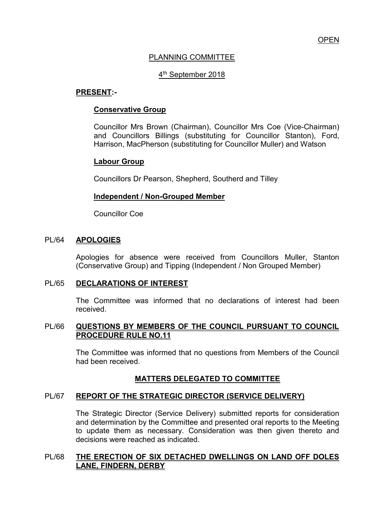### PLANNING COMMITTEE

# 4<sup>th</sup> September 2018

### **PRESENT:-**

### **Conservative Group**

Councillor Mrs Brown (Chairman), Councillor Mrs Coe (Vice-Chairman) and Councillors Billings (substituting for Councillor Stanton), Ford, Harrison, MacPherson (substituting for Councillor Muller) and Watson

### **Labour Group**

Councillors Dr Pearson, Shepherd, Southerd and Tilley

### **Independent / Non-Grouped Member**

Councillor Coe

### PL/64 **APOLOGIES**

Apologies for absence were received from Councillors Muller, Stanton (Conservative Group) and Tipping (Independent / Non Grouped Member)

### PL/65 **DECLARATIONS OF INTEREST**

 The Committee was informed that no declarations of interest had been received.

### PL/66 **QUESTIONS BY MEMBERS OF THE COUNCIL PURSUANT TO COUNCIL PROCEDURE RULE NO.11**

 The Committee was informed that no questions from Members of the Council had been received.

## **MATTERS DELEGATED TO COMMITTEE**

### PL/67 **REPORT OF THE STRATEGIC DIRECTOR (SERVICE DELIVERY)**

The Strategic Director (Service Delivery) submitted reports for consideration and determination by the Committee and presented oral reports to the Meeting to update them as necessary. Consideration was then given thereto and decisions were reached as indicated.

### PL/68 **THE ERECTION OF SIX DETACHED DWELLINGS ON LAND OFF DOLES LANE, FINDERN, DERBY**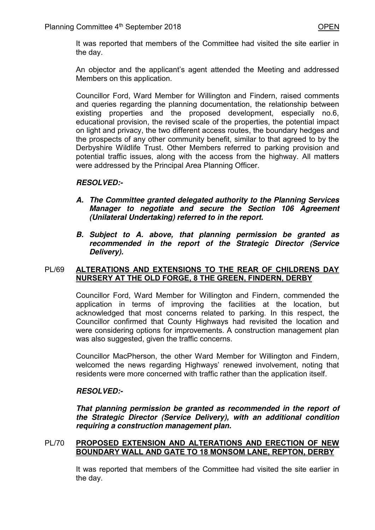It was reported that members of the Committee had visited the site earlier in the day.

 An objector and the applicant's agent attended the Meeting and addressed Members on this application.

 Councillor Ford, Ward Member for Willington and Findern, raised comments and queries regarding the planning documentation, the relationship between existing properties and the proposed development, especially no.6, educational provision, the revised scale of the properties, the potential impact on light and privacy, the two different access routes, the boundary hedges and the prospects of any other community benefit, similar to that agreed to by the Derbyshire Wildlife Trust. Other Members referred to parking provision and potential traffic issues, along with the access from the highway. All matters were addressed by the Principal Area Planning Officer.

### *RESOLVED:-*

- *A. The Committee granted delegated authority to the Planning Services Manager to negotiate and secure the Section 106 Agreement (Unilateral Undertaking) referred to in the report.*
- *B. Subject to A. above, that planning permission be granted as recommended in the report of the Strategic Director (Service Delivery).*

### PL/69 **ALTERATIONS AND EXTENSIONS TO THE REAR OF CHILDRENS DAY NURSERY AT THE OLD FORGE, 8 THE GREEN, FINDERN, DERBY**

 Councillor Ford, Ward Member for Willington and Findern, commended the application in terms of improving the facilities at the location, but acknowledged that most concerns related to parking. In this respect, the Councillor confirmed that County Highways had revisited the location and were considering options for improvements. A construction management plan was also suggested, given the traffic concerns.

 Councillor MacPherson, the other Ward Member for Willington and Findern, welcomed the news regarding Highways' renewed involvement, noting that residents were more concerned with traffic rather than the application itself.

## *RESOLVED:-*

*That planning permission be granted as recommended in the report of the Strategic Director (Service Delivery), with an additional condition requiring a construction management plan.* 

### PL/70 **PROPOSED EXTENSION AND ALTERATIONS AND ERECTION OF NEW BOUNDARY WALL AND GATE TO 18 MONSOM LANE, REPTON, DERBY**

It was reported that members of the Committee had visited the site earlier in the day.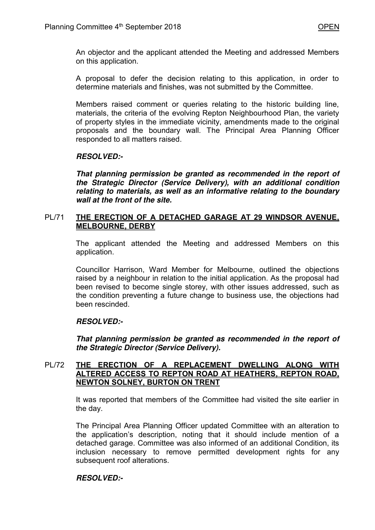An objector and the applicant attended the Meeting and addressed Members on this application.

A proposal to defer the decision relating to this application, in order to determine materials and finishes, was not submitted by the Committee.

Members raised comment or queries relating to the historic building line, materials, the criteria of the evolving Repton Neighbourhood Plan, the variety of property styles in the immediate vicinity, amendments made to the original proposals and the boundary wall. The Principal Area Planning Officer responded to all matters raised.

## *RESOLVED:-*

*That planning permission be granted as recommended in the report of the Strategic Director (Service Delivery), with an additional condition relating to materials, as well as an informative relating to the boundary wall at the front of the site.* 

### PL/71 **THE ERECTION OF A DETACHED GARAGE AT 29 WINDSOR AVENUE, MELBOURNE, DERBY**

The applicant attended the Meeting and addressed Members on this application.

Councillor Harrison, Ward Member for Melbourne, outlined the objections raised by a neighbour in relation to the initial application. As the proposal had been revised to become single storey, with other issues addressed, such as the condition preventing a future change to business use, the objections had been rescinded.

## *RESOLVED:-*

*That planning permission be granted as recommended in the report of the Strategic Director (Service Delivery).* 

### PL/72 **THE ERECTION OF A REPLACEMENT DWELLING ALONG WITH ALTERED ACCESS TO REPTON ROAD AT HEATHERS, REPTON ROAD, NEWTON SOLNEY, BURTON ON TRENT**

It was reported that members of the Committee had visited the site earlier in the day.

The Principal Area Planning Officer updated Committee with an alteration to the application's description, noting that it should include mention of a detached garage. Committee was also informed of an additional Condition, its inclusion necessary to remove permitted development rights for any subsequent roof alterations.

## *RESOLVED:-*